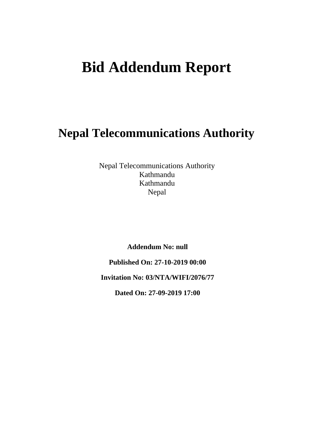# **Bid Addendum Report**

## **Nepal Telecommunications Authority**

Nepal Telecommunications Authority Kathmandu Kathmandu Nepal

**Addendum No: null**

**Published On: 27-10-2019 00:00**

**Invitation No: 03/NTA/WIFI/2076/77**

**Dated On: 27-09-2019 17:00**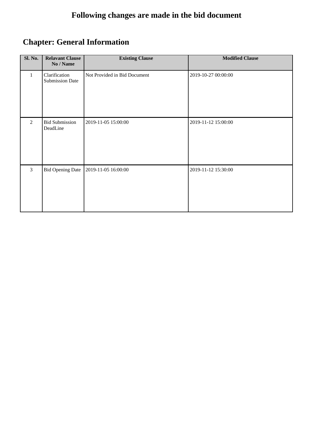## **Following changes are made in the bid document**

## **Chapter: General Information**

| <b>Sl. No.</b> | <b>Relavant Clause</b><br>No / Name     | <b>Existing Clause</b>       | <b>Modified Clause</b> |
|----------------|-----------------------------------------|------------------------------|------------------------|
| 1              | Clarification<br><b>Submission Date</b> | Not Provided in Bid Document | 2019-10-27 00:00:00    |
| 2              | <b>Bid Submission</b><br>DeadLine       | 2019-11-05 15:00:00          | 2019-11-12 15:00:00    |
| $\overline{3}$ | <b>Bid Opening Date</b>                 | 2019-11-05 16:00:00          | 2019-11-12 15:30:00    |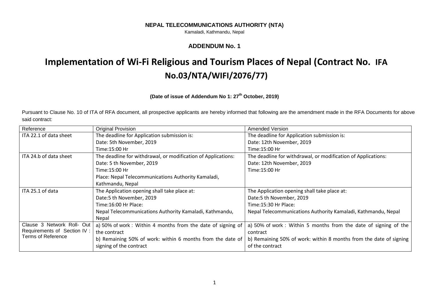#### **NEPAL TELECOMMUNICATIONS AUTHORITY (NTA)**

Kamaladi, Kathmandu, Nepal

## **ADDENDUM No. 1**

## **Implementation of Wi-Fi Religious and Tourism Places of Nepal (Contract No. IFA No.03/NTA/WIFI/2076/77)**

## **(Date of issue of Addendum No 1: 27 th October, 2019)**

Pursuant to Clause No. 10 of ITA of RFA document, all prospective applicants are hereby informed that following are the amendment made in the RFA Documents for above said contract:

| Reference                                                | Original Provision                                            | <b>Amended Version</b>                                             |
|----------------------------------------------------------|---------------------------------------------------------------|--------------------------------------------------------------------|
| ITA 22.1 of data sheet                                   | The deadline for Application submission is:                   | The deadline for Application submission is:                        |
|                                                          | Date: 5th November, 2019                                      | Date: 12th November, 2019                                          |
|                                                          | Time:15:00 Hr                                                 | Time:15:00 Hr                                                      |
| ITA 24.b of data sheet                                   | The deadline for withdrawal, or modification of Applications: | The deadline for withdrawal, or modification of Applications:      |
|                                                          | Date: 5 th November, 2019                                     | Date: 12th November, 2019                                          |
|                                                          | Time:15:00 Hr                                                 | Time:15:00 Hr                                                      |
|                                                          | Place: Nepal Telecommunications Authority Kamaladi,           |                                                                    |
|                                                          | Kathmandu, Nepal                                              |                                                                    |
| ITA 25.1 of data                                         | The Application opening shall take place at:                  | The Application opening shall take place at:                       |
|                                                          | Date:5 th November, 2019                                      | Date:5 th November, 2019                                           |
|                                                          | Time:16:00 Hr Place:                                          | Time:15:30 Hr Place:                                               |
|                                                          | Nepal Telecommunications Authority Kamaladi, Kathmandu,       | Nepal Telecommunications Authority Kamaladi, Kathmandu, Nepal      |
|                                                          | <b>Nepal</b>                                                  |                                                                    |
| Clause 3 Network Roll- Out                               | a) 50% of work : Within 4 months from the date of signing of  | a) 50% of work: Within 5 months from the date of signing of the    |
| Requirements of Section IV:<br><b>Terms of Reference</b> | the contract                                                  | contract                                                           |
|                                                          | b) Remaining 50% of work: within 6 months from the date of    | b) Remaining 50% of work: within 8 months from the date of signing |
|                                                          | signing of the contract                                       | of the contract                                                    |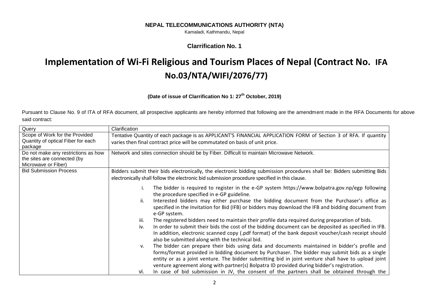#### **NEPAL TELECOMMUNICATIONS AUTHORITY (NTA)**

Kamaladi, Kathmandu, Nepal

## **Clarrification No. 1**

## **Implementation of Wi-Fi Religious and Tourism Places of Nepal (Contract No. IFA No.03/NTA/WIFI/2076/77)**

## **(Date of issue of Clarrification No 1: 27th October, 2019)**

Pursuant to Clause No. 9 of ITA of RFA document, all prospective applicants are hereby informed that following are the amendment made in the RFA Documents for above said contract:

| Query                               | Clarification                                                                                                                                                                                                                                                                                                                                                                                                                                                                                                                                                                                                                                                                                             |  |  |
|-------------------------------------|-----------------------------------------------------------------------------------------------------------------------------------------------------------------------------------------------------------------------------------------------------------------------------------------------------------------------------------------------------------------------------------------------------------------------------------------------------------------------------------------------------------------------------------------------------------------------------------------------------------------------------------------------------------------------------------------------------------|--|--|
| Scope of Work for the Provided      | Tentative Quantity of each package is as APPLICANT'S FINANCIAL APPLICATION FORM of Section 3 of RFA. If quantity                                                                                                                                                                                                                                                                                                                                                                                                                                                                                                                                                                                          |  |  |
| Quantity of optical Fiber for each  | varies then final contract price will be commutated on basis of unit price.                                                                                                                                                                                                                                                                                                                                                                                                                                                                                                                                                                                                                               |  |  |
| package                             |                                                                                                                                                                                                                                                                                                                                                                                                                                                                                                                                                                                                                                                                                                           |  |  |
| Do not make any restrictions as how | Network and sites connection should be by Fiber. Difficult to maintain Microwave Network.                                                                                                                                                                                                                                                                                                                                                                                                                                                                                                                                                                                                                 |  |  |
| the sites are connected (by         |                                                                                                                                                                                                                                                                                                                                                                                                                                                                                                                                                                                                                                                                                                           |  |  |
| Microwave or Fiber)                 |                                                                                                                                                                                                                                                                                                                                                                                                                                                                                                                                                                                                                                                                                                           |  |  |
| <b>Bid Submission Process</b>       | Bidders submit their bids electronically, the electronic bidding submission procedures shall be: Bidders submitting Bids                                                                                                                                                                                                                                                                                                                                                                                                                                                                                                                                                                                  |  |  |
|                                     | electronically shall follow the electronic bid submission procedure specified in this clause.                                                                                                                                                                                                                                                                                                                                                                                                                                                                                                                                                                                                             |  |  |
|                                     | The bidder is required to register in the e-GP system https://www.bolpatra.gov.np/egp following<br>the procedure specified in e-GP guideline.<br>Interested bidders may either purchase the bidding document from the Purchaser's office as<br>ii.<br>specified in the Invitation for Bid (IFB) or bidders may download the IFB and bidding document from<br>e-GP system.<br>The registered bidders need to maintain their profile data required during preparation of bids.<br>iii.<br>In order to submit their bids the cost of the bidding document can be deposited as specified in IFB.<br>iv.<br>In addition, electronic scanned copy (.pdf format) of the bank deposit voucher/cash receipt should |  |  |
|                                     | also be submitted along with the technical bid.                                                                                                                                                                                                                                                                                                                                                                                                                                                                                                                                                                                                                                                           |  |  |
|                                     | The bidder can prepare their bids using data and documents maintained in bidder's profile and<br>v.<br>forms/format provided in bidding document by Purchaser. The bidder may submit bids as a single<br>entity or as a joint venture. The bidder submitting bid in joint venture shall have to upload joint<br>venture agreement along with partner(s) Bolpatra ID provided during bidder's registration.                                                                                                                                                                                                                                                                                                |  |  |
|                                     | In case of bid submission in JV, the consent of the partners shall be obtained through the<br>Vİ.                                                                                                                                                                                                                                                                                                                                                                                                                                                                                                                                                                                                         |  |  |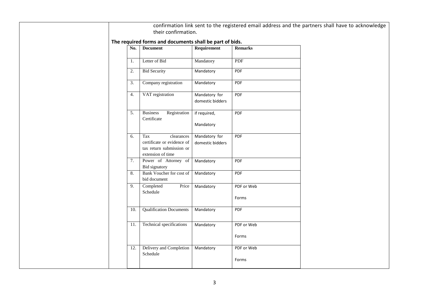|                  | their confirmation.                                                                              |                                   |                     | confirmation link sent to the registered email address and the partners shall have to acknowledge |
|------------------|--------------------------------------------------------------------------------------------------|-----------------------------------|---------------------|---------------------------------------------------------------------------------------------------|
|                  | The required forms and documents shall be part of bids.                                          |                                   |                     |                                                                                                   |
| No.              | <b>Document</b>                                                                                  | Requirement                       | <b>Remarks</b>      |                                                                                                   |
| 1.               | Letter of Bid                                                                                    | Mandatory                         | PDF                 |                                                                                                   |
| 2.               | <b>Bid Security</b>                                                                              | Mandatory                         | PDF                 |                                                                                                   |
| $\overline{3}$ . | Company registration                                                                             | Mandatory                         | PDF                 |                                                                                                   |
| 4.               | VAT registration                                                                                 | Mandatory for<br>domestic bidders | PDF                 |                                                                                                   |
| 5.               | <b>Business</b><br>Registration<br>Certificate                                                   | if required,<br>Mandatory         | <b>PDF</b>          |                                                                                                   |
| 6.               | Tax<br>clearances<br>certificate or evidence of<br>tax return submission or<br>extension of time | Mandatory for<br>domestic bidders | PDF                 |                                                                                                   |
| 7.               | Power of Attorney of<br>Bid signatory                                                            | Mandatory                         | PDF                 |                                                                                                   |
| 8.               | Bank Voucher for cost of<br>bid document                                                         | Mandatory                         | <b>PDF</b>          |                                                                                                   |
| 9.               | Completed<br>Price<br>Schedule                                                                   | Mandatory                         | PDF or Web<br>Forms |                                                                                                   |
| 10.              | <b>Qualification Documents</b>                                                                   | Mandatory                         | <b>PDF</b>          |                                                                                                   |
| 11.              | Technical specifications                                                                         | Mandatory                         | PDF or Web          |                                                                                                   |
|                  |                                                                                                  |                                   | Forms               |                                                                                                   |
| 12.              | Delivery and Completion<br>Schedule                                                              | Mandatory                         | PDF or Web<br>Forms |                                                                                                   |
|                  |                                                                                                  |                                   |                     |                                                                                                   |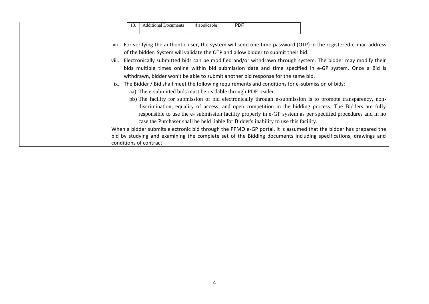| 13.   | <b>Additional Documents</b>                                                                                                                                                                                                                                                                                                    | If applicable | <b>PDF</b> |                                                                                                     |                                                                                                                                                                                                                                                                                                                                                                                                                                                                                                                                                                                                                                                                                                                                                                                                           |
|-------|--------------------------------------------------------------------------------------------------------------------------------------------------------------------------------------------------------------------------------------------------------------------------------------------------------------------------------|---------------|------------|-----------------------------------------------------------------------------------------------------|-----------------------------------------------------------------------------------------------------------------------------------------------------------------------------------------------------------------------------------------------------------------------------------------------------------------------------------------------------------------------------------------------------------------------------------------------------------------------------------------------------------------------------------------------------------------------------------------------------------------------------------------------------------------------------------------------------------------------------------------------------------------------------------------------------------|
| viii. | of the bidder. System will validate the OTP and allow bidder to submit their bid.<br>withdrawn, bidder won't be able to submit another bid response for the same bid.<br>aa) The e-submitted bids must be readable through PDF reader.<br>case the Purchaser shall be held liable for Bidder's inability to use this facility. |               |            | ix. The Bidder / Bid shall meet the following requirements and conditions for e-submission of bids; | vii. For verifying the authentic user, the system will send one time password (OTP) in the registered e-mail address<br>Electronically submitted bids can be modified and/or withdrawn through system. The bidder may modify their<br>bids multiple times online within bid submission date and time specified in e-GP system. Once a Bid is<br>bb) The facility for submission of bid electronically through e-submission is to promote transparency, non-<br>discrimination, equality of access, and open competition in the bidding process. The Bidders are fully<br>responsible to use the e- submission facility properly in e-GP system as per specified procedures and in no<br>When a bidder submits electronic bid through the PPMO e-GP portal, it is assumed that the bidder has prepared the |
|       | conditions of contract.                                                                                                                                                                                                                                                                                                        |               |            |                                                                                                     | bid by studying and examining the complete set of the Bidding documents including specifications, drawings and                                                                                                                                                                                                                                                                                                                                                                                                                                                                                                                                                                                                                                                                                            |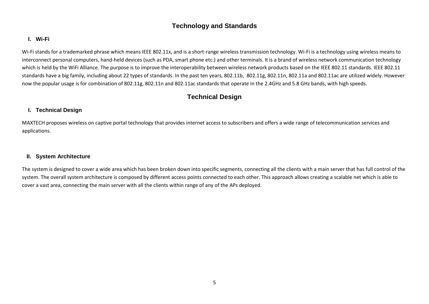## **Technology and Standards**

## **I. Wi-Fi**

Wi-Fi stands for a trademarked phrase which means IEEE 802.11x, and is a short-range wireless transmission technology. Wi-Fi is a technology using wireless means to interconnect personal computers, hand-held devices (such as PDA, smart phone etc.) and other terminals. It is a brand of wireless network communication technology which is held by the WiFi Alliance. The purpose is to improve the interoperability between wireless network products based on the IEEE 802.11 standards. IEEE 802.11 standards have a big family, including about 22 types of standards. In the past ten years, 802.11b, 802.11g, 802.11n, 802.11a and 802.11ac are utilized widely. However now the popular usage is for combination of 802.11g, 802.11n and 802.11ac standards that operate in the 2.4GHz and 5.8 GHz bands, with high speeds.

## **Technical Design**

## **I. Technical Design**

MAXTECH proposes wireless on captive portal technology that provides internet access to subscribers and offers a wide range of telecommunication services and applications.

### **II. System Architecture**

The system is designed to cover a wide area which has been broken down into specific segments, connecting all the clients with a main server that has full control of the system. The overall system architecture is composed by different access points connected to each other. This approach allows creating a scalable net which is able to cover a vast area, connecting the main server with all the clients within range of any of the APs deployed.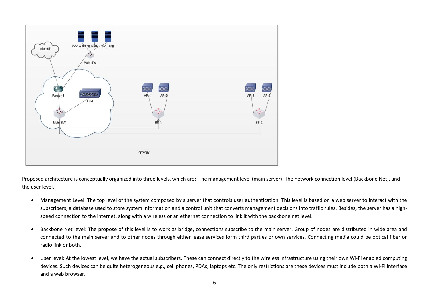

Proposed architecture is conceptually organized into three levels, which are: The management level (main server), The network connection level (Backbone Net), and the user level.

- Management Level: The top level of the system composed by a server that controls user authentication. This level is based on a web server to interact with the subscribers, a database used to store system information and a control unit that converts management decisions into traffic rules. Besides, the server has a highspeed connection to the internet, along with a wireless or an ethernet connection to link it with the backbone net level.
- Backbone Net level: The propose of this level is to work as bridge, connections subscribe to the main server. Group of nodes are distributed in wide area and connected to the main server and to other nodes through either lease services form third parties or own services. Connecting media could be optical fiber or radio link or both.
- User level: At the lowest level, we have the actual subscribers. These can connect directly to the wireless infrastructure using their own Wi-Fi enabled computing devices. Such devices can be quite heterogeneous e.g., cell phones, PDAs, laptops etc. The only restrictions are these devices must include both a Wi-Fi interface and a web browser.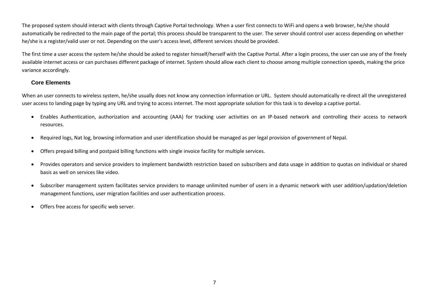The proposed system should interact with clients through Captive Portal technology. When a user first connects to WiFi and opens a web browser, he/she should automatically be redirected to the main page of the portal; this process should be transparent to the user. The server should control user access depending on whether he/she is a register/valid user or not. Depending on the user's access level, different services should be provided.

The first time a user access the system he/she should be asked to register himself/herself with the Captive Portal. After a login process, the user can use any of the freely available internet access or can purchases different package of internet. System should allow each client to choose among multiple connection speeds, making the price variance accordingly.

## **Core Elements**

When an user connects to wireless system, he/she usually does not know any connection information or URL. System should automatically re-direct all the unregistered user access to landing page by typing any URL and trying to access internet. The most appropriate solution for this task is to develop a captive portal.

- Enables Authentication, authorization and accounting (AAA) for tracking user activities on an IP-based network and controlling their access to network resources.
- Required logs, Nat log, browsing information and user identification should be managed as per legal provision of government of Nepal.
- Offers prepaid billing and postpaid billing functions with single invoice facility for multiple services.
- Provides operators and service providers to implement bandwidth restriction based on subscribers and data usage in addition to quotas on individual or shared basis as well on services like video.
- Subscriber management system facilitates service providers to manage unlimited number of users in a dynamic network with user addition/updation/deletion management functions, user migration facilities and user authentication process.
- Offers free access for specific web server.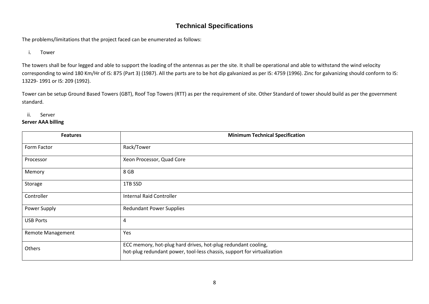## **Technical Specifications**

The problems/limitations that the project faced can be enumerated as follows:

i. Tower

The towers shall be four legged and able to support the loading of the antennas as per the site. It shall be operational and able to withstand the wind velocity corresponding to wind 180 Km/Hr of IS: 875 (Part 3) (1987). All the parts are to be hot dip galvanized as per IS: 4759 (1996). Zinc for galvanizing should conform to IS: 13229- 1991 or IS: 209 (1992).

Tower can be setup Ground Based Towers (GBT), Roof Top Towers (RTT) as per the requirement of site. Other Standard of tower should build as per the government standard.

ii. Server

### **Server AAA billing**

| <b>Features</b>          | <b>Minimum Technical Specification</b>                                                                                                   |
|--------------------------|------------------------------------------------------------------------------------------------------------------------------------------|
| Form Factor              | Rack/Tower                                                                                                                               |
| Processor                | Xeon Processor, Quad Core                                                                                                                |
| Memory                   | 8 GB                                                                                                                                     |
| Storage                  | 1TB SSD                                                                                                                                  |
| Controller               | <b>Internal Raid Controller</b>                                                                                                          |
| Power Supply             | <b>Redundant Power Supplies</b>                                                                                                          |
| <b>USB Ports</b>         | 4                                                                                                                                        |
| <b>Remote Management</b> | Yes                                                                                                                                      |
| Others                   | ECC memory, hot-plug hard drives, hot-plug redundant cooling,<br>hot-plug redundant power, tool-less chassis, support for virtualization |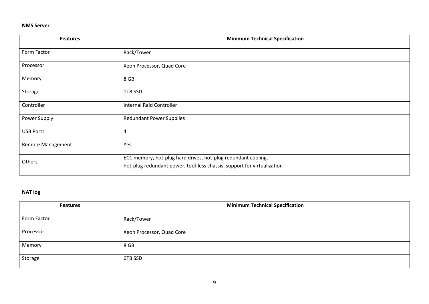#### **NMS Server**

| <b>Features</b>          | <b>Minimum Technical Specification</b>                                                                                                   |
|--------------------------|------------------------------------------------------------------------------------------------------------------------------------------|
| Form Factor              | Rack/Tower                                                                                                                               |
| Processor                | Xeon Processor, Quad Core                                                                                                                |
| Memory                   | 8 GB                                                                                                                                     |
| Storage                  | 1TB SSD                                                                                                                                  |
| Controller               | <b>Internal Raid Controller</b>                                                                                                          |
| Power Supply             | <b>Redundant Power Supplies</b>                                                                                                          |
| <b>USB Ports</b>         | 4                                                                                                                                        |
| <b>Remote Management</b> | Yes                                                                                                                                      |
| Others                   | ECC memory, hot-plug hard drives, hot-plug redundant cooling,<br>hot-plug redundant power, tool-less chassis, support for virtualization |

## **NAT log**

| <b>Features</b> | <b>Minimum Technical Specification</b> |
|-----------------|----------------------------------------|
| Form Factor     | Rack/Tower                             |
| Processor       | Xeon Processor, Quad Core              |
| Memory          | 8 GB                                   |
| Storage         | 6TB SSD                                |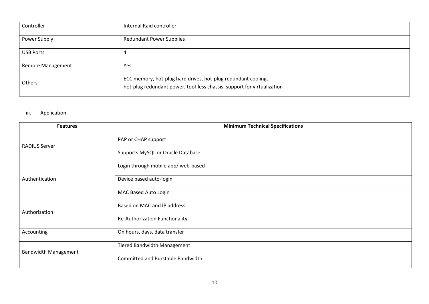| Controller               | Internal Raid controller                                                                                                                 |
|--------------------------|------------------------------------------------------------------------------------------------------------------------------------------|
| Power Supply             | <b>Redundant Power Supplies</b>                                                                                                          |
| <b>USB Ports</b>         | 4                                                                                                                                        |
| <b>Remote Management</b> | Yes                                                                                                                                      |
| Others                   | ECC memory, hot-plug hard drives, hot-plug redundant cooling,<br>hot-plug redundant power, tool-less chassis, support for virtualization |

## iii. Application

| <b>Features</b>             | <b>Minimum Technical Specifications</b> |
|-----------------------------|-----------------------------------------|
| <b>RADIUS Server</b>        | PAP or CHAP support                     |
|                             | Supports MySQL or Oracle Database       |
|                             | Login through mobile app/ web-based     |
| Authentication              | Device based auto-login                 |
|                             | MAC Based Auto Login                    |
| Authorization               | Based on MAC and IP address             |
|                             | Re-Authorization Functionality          |
| Accounting                  | On hours, days, data transfer           |
| <b>Bandwidth Management</b> | <b>Tiered Bandwidth Management</b>      |
|                             | Committed and Burstable Bandwidth       |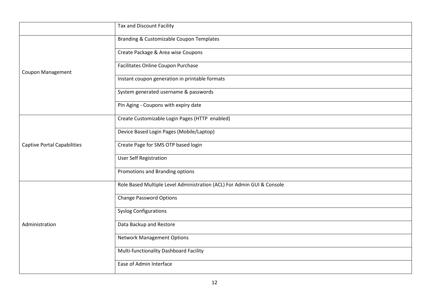|                                    | Tax and Discount Facility                                              |
|------------------------------------|------------------------------------------------------------------------|
|                                    | Branding & Customizable Coupon Templates                               |
|                                    | Create Package & Area wise Coupons                                     |
| <b>Coupon Management</b>           | Facilitates Online Coupon Purchase                                     |
|                                    | Instant coupon generation in printable formats                         |
|                                    | System generated username & passwords                                  |
|                                    | Pin Aging - Coupons with expiry date                                   |
|                                    | Create Customizable Login Pages (HTTP enabled)                         |
|                                    | Device Based Login Pages (Mobile/Laptop)                               |
| <b>Captive Portal Capabilities</b> | Create Page for SMS OTP based login                                    |
|                                    | <b>User Self Registration</b>                                          |
|                                    | Promotions and Branding options                                        |
|                                    | Role Based Multiple Level Administration (ACL) For Admin GUI & Console |
|                                    | <b>Change Password Options</b>                                         |
|                                    | <b>Syslog Configurations</b>                                           |
| Administration                     | Data Backup and Restore                                                |
|                                    | <b>Network Management Options</b>                                      |
|                                    | Multi-functionality Dashboard Facility                                 |
|                                    | Ease of Admin Interface                                                |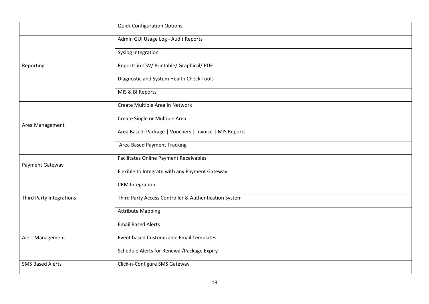|                          | <b>Quick Configuration Options</b>                     |
|--------------------------|--------------------------------------------------------|
|                          | Admin GUI Usage Log - Audit Reports                    |
|                          | Syslog Integration                                     |
| Reporting                | Reports in CSV/ Printable/ Graphical/ PDF              |
|                          | Diagnostic and System Health Check Tools               |
|                          | MIS & BI Reports                                       |
|                          | Create Multiple Area In Network                        |
| Area Management          | Create Single or Multiple Area                         |
|                          | Area Based: Package   Vouchers   Invoice   MIS Reports |
|                          | Area Based Payment Tracking                            |
| Payment Gateway          | <b>Facilitates Online Payment Receivables</b>          |
|                          | Flexible to Integrate with any Payment Gateway         |
|                          | <b>CRM</b> Integration                                 |
| Third Party Integrations | Third Party Access Controller & Authentication System  |
|                          | <b>Attribute Mapping</b>                               |
| Alert Management         | <b>Email Based Alerts</b>                              |
|                          | Event based Customizable Email Templates               |
|                          | Schedule Alerts for Renewal/Package Expiry             |
| <b>SMS Based Alerts</b>  | Click-n-Configure SMS Gateway                          |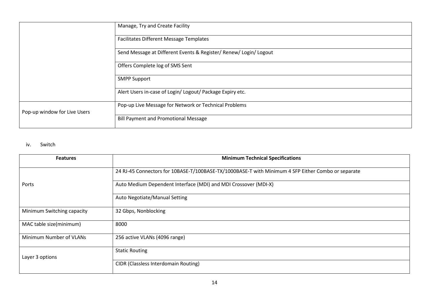|                              | Manage, Try and Create Facility                                   |
|------------------------------|-------------------------------------------------------------------|
|                              | <b>Facilitates Different Message Templates</b>                    |
|                              | Send Message at Different Events & Register/ Renew/ Login/ Logout |
|                              | Offers Complete log of SMS Sent                                   |
|                              | <b>SMPP Support</b>                                               |
|                              | Alert Users in-case of Login/ Logout/ Package Expiry etc.         |
| Pop-up window for Live Users | Pop-up Live Message for Network or Technical Problems             |
|                              | <b>Bill Payment and Promotional Message</b>                       |

## iv. Switch

| <b>Features</b>            | <b>Minimum Technical Specifications</b>                                                            |
|----------------------------|----------------------------------------------------------------------------------------------------|
|                            | 24 RJ-45 Connectors for 10BASE-T/100BASE-TX/1000BASE-T with Minimum 4 SFP Either Combo or separate |
| Ports                      | Auto Medium Dependent Interface (MDI) and MDI Crossover (MDI-X)                                    |
|                            | Auto Negotiate/Manual Setting                                                                      |
| Minimum Switching capacity | 32 Gbps, Nonblocking                                                                               |
| MAC table size(minimum)    | 8000                                                                                               |
| Minimum Number of VLANs    | 256 active VLANs (4096 range)                                                                      |
| Layer 3 options            | <b>Static Routing</b>                                                                              |
|                            | <b>CIDR (Classless Interdomain Routing)</b>                                                        |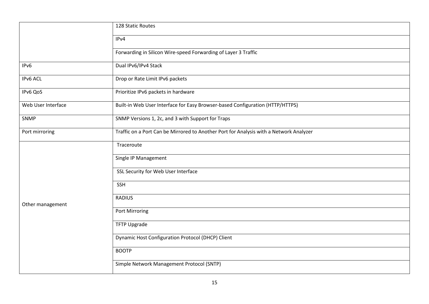|                    | 128 Static Routes                                                                      |  |
|--------------------|----------------------------------------------------------------------------------------|--|
|                    | IPv4                                                                                   |  |
|                    | Forwarding in Silicon Wire-speed Forwarding of Layer 3 Traffic                         |  |
| IPv6               | Dual IPv6/IPv4 Stack                                                                   |  |
| IPv6 ACL           | Drop or Rate Limit IPv6 packets                                                        |  |
| IPv6 QoS           | Prioritize IPv6 packets in hardware                                                    |  |
| Web User Interface | Built-in Web User Interface for Easy Browser-based Configuration (HTTP/HTTPS)          |  |
| SNMP               | SNMP Versions 1, 2c, and 3 with Support for Traps                                      |  |
| Port mirroring     | Traffic on a Port Can be Mirrored to Another Port for Analysis with a Network Analyzer |  |
|                    | Traceroute                                                                             |  |
|                    | Single IP Management                                                                   |  |
|                    | SSL Security for Web User Interface                                                    |  |
| Other management   | <b>SSH</b>                                                                             |  |
|                    | <b>RADIUS</b>                                                                          |  |
|                    | Port Mirroring                                                                         |  |
|                    | <b>TFTP Upgrade</b>                                                                    |  |
|                    | Dynamic Host Configuration Protocol (DHCP) Client                                      |  |
|                    | <b>BOOTP</b>                                                                           |  |
|                    | Simple Network Management Protocol (SNTP)                                              |  |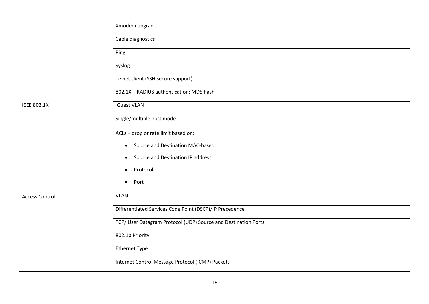|                       | Xmodem upgrade                                                 |
|-----------------------|----------------------------------------------------------------|
|                       | Cable diagnostics                                              |
|                       | Ping                                                           |
|                       | Syslog                                                         |
|                       | Telnet client (SSH secure support)                             |
|                       | 802.1X - RADIUS authentication; MD5 hash                       |
| <b>IEEE 802.1X</b>    | <b>Guest VLAN</b>                                              |
|                       | Single/multiple host mode                                      |
|                       | ACLs - drop or rate limit based on:                            |
|                       | Source and Destination MAC-based<br>$\bullet$                  |
|                       | Source and Destination IP address<br>$\bullet$                 |
|                       | Protocol<br>$\bullet$                                          |
| <b>Access Control</b> | Port<br>$\bullet$                                              |
|                       | <b>VLAN</b>                                                    |
|                       | Differentiated Services Code Point (DSCP)/IP Precedence        |
|                       | TCP/ User Datagram Protocol (UDP) Source and Destination Ports |
|                       | 802.1p Priority                                                |
|                       | <b>Ethernet Type</b>                                           |
|                       | Internet Control Message Protocol (ICMP) Packets               |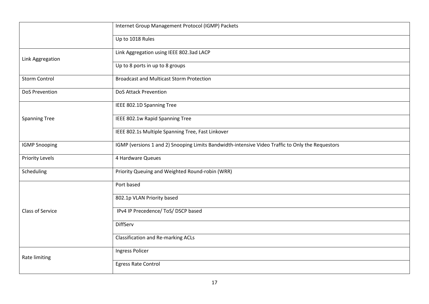|                         | Internet Group Management Protocol (IGMP) Packets                                                |  |
|-------------------------|--------------------------------------------------------------------------------------------------|--|
|                         | Up to 1018 Rules                                                                                 |  |
| Link Aggregation        | Link Aggregation using IEEE 802.3ad LACP                                                         |  |
|                         | Up to 8 ports in up to 8 groups                                                                  |  |
| <b>Storm Control</b>    | <b>Broadcast and Multicast Storm Protection</b>                                                  |  |
| DoS Prevention          | <b>DoS Attack Prevention</b>                                                                     |  |
|                         | IEEE 802.1D Spanning Tree                                                                        |  |
| <b>Spanning Tree</b>    | IEEE 802.1w Rapid Spanning Tree                                                                  |  |
|                         | IEEE 802.1s Multiple Spanning Tree, Fast Linkover                                                |  |
| <b>IGMP Snooping</b>    | IGMP (versions 1 and 2) Snooping Limits Bandwidth-intensive Video Traffic to Only the Requestors |  |
| <b>Priority Levels</b>  | 4 Hardware Queues                                                                                |  |
| Scheduling              | Priority Queuing and Weighted Round-robin (WRR)                                                  |  |
|                         | Port based                                                                                       |  |
| <b>Class of Service</b> | 802.1p VLAN Priority based                                                                       |  |
|                         | IPv4 IP Precedence/ ToS/ DSCP based                                                              |  |
|                         | DiffServ                                                                                         |  |
|                         | <b>Classification and Re-marking ACLs</b>                                                        |  |
| Rate limiting           | Ingress Policer                                                                                  |  |
|                         | <b>Egress Rate Control</b>                                                                       |  |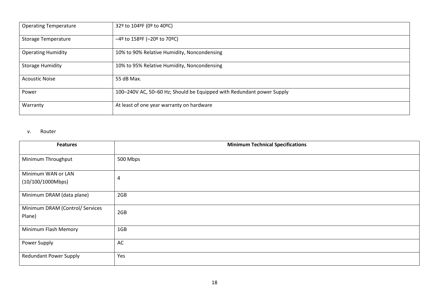| <b>Operating Temperature</b> | 32º to 104ºF (0º to 40ºC)                                             |
|------------------------------|-----------------------------------------------------------------------|
| <b>Storage Temperature</b>   | $-4^{\circ}$ to 158°F (-20° to 70°C)                                  |
| <b>Operating Humidity</b>    | 10% to 90% Relative Humidity, Noncondensing                           |
| <b>Storage Humidity</b>      | 10% to 95% Relative Humidity, Noncondensing                           |
| <b>Acoustic Noise</b>        | 55 dB Max.                                                            |
| Power                        | 100-240V AC, 50-60 Hz; Should be Equipped with Redundant power Supply |
| Warranty                     | At least of one year warranty on hardware                             |

#### v. Router

| <b>Features</b>                           | <b>Minimum Technical Specifications</b> |
|-------------------------------------------|-----------------------------------------|
| Minimum Throughput                        | 500 Mbps                                |
| Minimum WAN or LAN<br>(10/100/1000Mbps)   | 4                                       |
| Minimum DRAM (data plane)                 | 2GB                                     |
| Minimum DRAM (Control/ Services<br>Plane) | 2GB                                     |
| Minimum Flash Memory                      | 1GB                                     |
| Power Supply                              | AC                                      |
| <b>Redundant Power Supply</b>             | Yes                                     |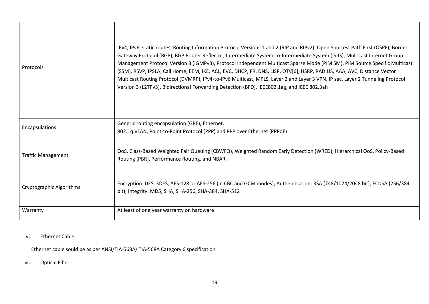| Protocols                 | IPv4, IPv6, static routes, Routing Information Protocol Versions 1 and 2 (RIP and RIPv2), Open Shortest Path First (OSPF), Border<br>Gateway Protocol (BGP), BGP Router Reflector, Intermediate System-to-Intermediate System (IS-IS), Multicast Internet Group<br>Management Protocol Version 3 (IGMPv3), Protocol Independent Multicast Sparse Mode (PIM SM), PIM Source Specific Multicast<br>(SSM), RSVP, IPSLA, Call Home, EEM, IKE, ACL, EVC, DHCP, FR, DNS, LISP, OTV[6], HSRP, RADIUS, AAA, AVC, Distance Vector<br>Multicast Routing Protocol (DVMRP), IPv4-to-IPv6 Multicast, MPLS, Layer 2 and Layer 3 VPN, IP sec, Layer 2 Tunneling Protocol<br>Version 3 (L2TPv3), Bidirectional Forwarding Detection (BFD), IEEE802.1ag, and IEEE 802.3ah |
|---------------------------|----------------------------------------------------------------------------------------------------------------------------------------------------------------------------------------------------------------------------------------------------------------------------------------------------------------------------------------------------------------------------------------------------------------------------------------------------------------------------------------------------------------------------------------------------------------------------------------------------------------------------------------------------------------------------------------------------------------------------------------------------------|
| Encapsulations            | Generic routing encapsulation (GRE), Ethernet,<br>802.1q VLAN, Point-to-Point Protocol (PPP) and PPP over Ethernet (PPPoE)                                                                                                                                                                                                                                                                                                                                                                                                                                                                                                                                                                                                                               |
| <b>Traffic Management</b> | QoS, Class-Based Weighted Fair Queuing (CBWFQ), Weighted Random Early Detection (WRED), Hierarchical QoS, Policy-Based<br>Routing (PBR), Performance Routing, and NBAR.                                                                                                                                                                                                                                                                                                                                                                                                                                                                                                                                                                                  |
| Cryptographic Algorithms  | Encryption: DES, 3DES, AES-128 or AES-256 (in CBC and GCM modes); Authentication: RSA (748/1024/2048 bit), ECDSA (256/384<br>bit); Integrity: MD5, SHA, SHA-256, SHA-384, SHA-512                                                                                                                                                                                                                                                                                                                                                                                                                                                                                                                                                                        |
| Warranty                  | At least of one year warranty on hardware                                                                                                                                                                                                                                                                                                                                                                                                                                                                                                                                                                                                                                                                                                                |

## vi. Ethernet Cable

Ethernet cable sould be as per ANSI/TIA-568A/ TIA-568A Category 6 specification

vii. Optical Fiber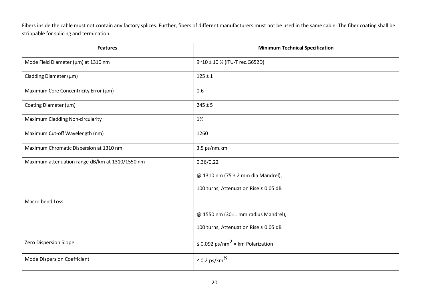Fibers inside the cable must not contain any factory splices. Further, fibers of different manufacturers must not be used in the same cable. The fiber coating shall be strippable for splicing and termination.

| <b>Features</b>                                 | <b>Minimum Technical Specification</b>               |
|-------------------------------------------------|------------------------------------------------------|
| Mode Field Diameter (µm) at 1310 nm             | 9~10 ± 10 % (ITU-T rec.G652D)                        |
| Cladding Diameter (µm)                          | $125 \pm 1$                                          |
| Maximum Core Concentricity Error (µm)           | 0.6                                                  |
| Coating Diameter (µm)                           | $245 \pm 5$                                          |
| <b>Maximum Cladding Non-circularity</b>         | 1%                                                   |
| Maximum Cut-off Wavelength (nm)                 | 1260                                                 |
| Maximum Chromatic Dispersion at 1310 nm         | 3.5 ps/nm.km                                         |
| Maximum attenuation range dB/km at 1310/1550 nm | 0.36/0.22                                            |
|                                                 | @ 1310 nm (75 ± 2 mm dia Mandrel),                   |
|                                                 | 100 turns; Attenuation Rise ≤ 0.05 dB                |
| Macro bend Loss                                 |                                                      |
|                                                 | @ 1550 nm (30±1 mm radius Mandrel),                  |
|                                                 | 100 turns; Attenuation Rise ≤ 0.05 dB                |
| Zero Dispersion Slope                           | $\leq$ 0.092 ps/nm <sup>2</sup> × km Polarization    |
| Mode Dispersion Coefficient                     | $\leq$ 0.2 ps/km <sup><math>\frac{1}{2}</math></sup> |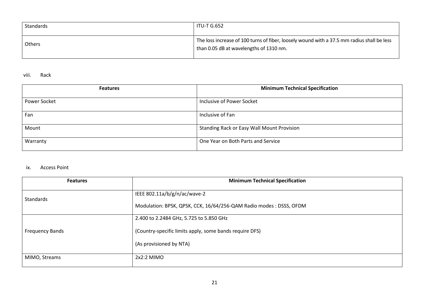| Standards | <b>ITU-T G.652</b>                                                                                                                    |
|-----------|---------------------------------------------------------------------------------------------------------------------------------------|
| Others    | The loss increase of 100 turns of fiber, loosely wound with a 37.5 mm radius shall be less<br>than 0.05 dB at wavelengths of 1310 nm. |

#### viii. Rack

| <b>Features</b> | <b>Minimum Technical Specification</b>            |
|-----------------|---------------------------------------------------|
| Power Socket    | Inclusive of Power Socket                         |
| Fan             | Inclusive of Fan                                  |
| Mount           | <b>Standing Rack or Easy Wall Mount Provision</b> |
| Warranty        | One Year on Both Parts and Service                |

### ix. Access Point

| <b>Features</b>        | <b>Minimum Technical Specification</b>                                                              |
|------------------------|-----------------------------------------------------------------------------------------------------|
| Standards              | IEEE 802.11a/b/g/n/ac/wave-2<br>Modulation: BPSK, QPSK, CCK, 16/64/256-QAM Radio modes : DSSS, OFDM |
|                        | 2.400 to 2.2484 GHz, 5.725 to 5.850 GHz                                                             |
| <b>Frequency Bands</b> | (Country-specific limits apply, some bands require DFS)                                             |
|                        | (As provisioned by NTA)                                                                             |
| MIMO, Streams          | $2x2:2$ MIMO                                                                                        |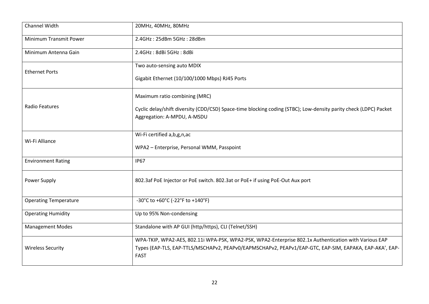| Channel Width                 | 20MHz, 40MHz, 80MHz                                                                                                   |
|-------------------------------|-----------------------------------------------------------------------------------------------------------------------|
| <b>Minimum Transmit Power</b> | 2.4GHz: 25dBm 5GHz: 28dBm                                                                                             |
| Minimum Antenna Gain          | 2.4GHz: 8dBi 5GHz: 8dBi                                                                                               |
| <b>Ethernet Ports</b>         | Two auto-sensing auto MDIX                                                                                            |
|                               | Gigabit Ethernet (10/100/1000 Mbps) RJ45 Ports                                                                        |
|                               | Maximum ratio combining (MRC)                                                                                         |
| <b>Radio Features</b>         | Cyclic delay/shift diversity (CDD/CSD) Space-time blocking coding (STBC); Low-density parity check (LDPC) Packet      |
|                               | Aggregation: A-MPDU, A-MSDU                                                                                           |
| Wi-Fi Alliance                | Wi-Fi certified a, b, g, n, ac                                                                                        |
|                               | WPA2 - Enterprise, Personal WMM, Passpoint                                                                            |
| <b>Environment Rating</b>     | <b>IP67</b>                                                                                                           |
| Power Supply                  | 802.3af PoE Injector or PoE switch. 802.3at or PoE+ if using PoE-Out Aux port                                         |
| <b>Operating Temperature</b>  | -30°C to +60°C (-22°F to +140°F)                                                                                      |
| <b>Operating Humidity</b>     | Up to 95% Non-condensing                                                                                              |
| <b>Management Modes</b>       | Standalone with AP GUI (http/https), CLI (Telnet/SSH)                                                                 |
| <b>Wireless Security</b>      | WPA-TKIP, WPA2-AES, 802.11i WPA-PSK, WPA2-PSK, WPA2-Enterprise 802.1x Authentication with Various EAP                 |
|                               | Types (EAP-TLS, EAP-TTLS/MSCHAPv2, PEAPv0/EAPMSCHAPv2, PEAPv1/EAP-GTC, EAP-SIM, EAPAKA, EAP-AKA', EAP-<br><b>FAST</b> |
|                               |                                                                                                                       |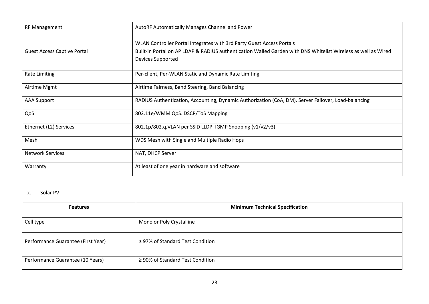| <b>RF Management</b>               | AutoRF Automatically Manages Channel and Power                                                                |
|------------------------------------|---------------------------------------------------------------------------------------------------------------|
|                                    | WLAN Controller Portal Integrates with 3rd Party Guest Access Portals                                         |
| <b>Guest Access Captive Portal</b> | Built-in Portal on AP LDAP & RADIUS authentication Walled Garden with DNS Whitelist Wireless as well as Wired |
|                                    | Devices Supported                                                                                             |
| <b>Rate Limiting</b>               | Per-client, Per-WLAN Static and Dynamic Rate Limiting                                                         |
| Airtime Mgmt                       | Airtime Fairness, Band Steering, Band Balancing                                                               |
| <b>AAA Support</b>                 | RADIUS Authentication, Accounting, Dynamic Authorization (CoA, DM). Server Failover, Load-balancing           |
| QoS                                | 802.11e/WMM QoS. DSCP/ToS Mapping                                                                             |
| Ethernet (L2) Services             | 802.1p/802.q, VLAN per SSID LLDP. IGMP Snooping (v1/v2/v3)                                                    |
| Mesh                               | WDS Mesh with Single and Multiple Radio Hops                                                                  |
| <b>Network Services</b>            | NAT, DHCP Server                                                                                              |
| Warranty                           | At least of one year in hardware and software                                                                 |

## x. Solar PV

| <b>Features</b>                    | <b>Minimum Technical Specification</b> |
|------------------------------------|----------------------------------------|
| Cell type                          | Mono or Poly Crystalline               |
| Performance Guarantee (First Year) | $\geq$ 97% of Standard Test Condition  |
| Performance Guarantee (10 Years)   | ≥ 90% of Standard Test Condition       |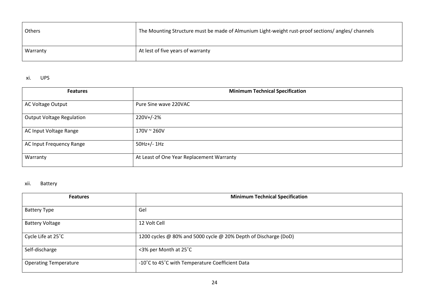| Others   | The Mounting Structure must be made of Almunium Light-weight rust-proof sections/ angles/ channels |
|----------|----------------------------------------------------------------------------------------------------|
| Warranty | At lest of five years of warranty                                                                  |

## xi. UPS

| <b>Features</b>                  | <b>Minimum Technical Specification</b>    |
|----------------------------------|-------------------------------------------|
| AC Voltage Output                | Pure Sine wave 220VAC                     |
| <b>Output Voltage Regulation</b> | 220V+/-2%                                 |
| AC Input Voltage Range           | $170V \approx 260V$                       |
| AC Input Frequency Range         | $50Hz+/- 1Hz$                             |
| Warranty                         | At Least of One Year Replacement Warranty |

## xii. Battery

| <b>Features</b>              | <b>Minimum Technical Specification</b>                          |
|------------------------------|-----------------------------------------------------------------|
| <b>Battery Type</b>          | Gel                                                             |
| <b>Battery Voltage</b>       | 12 Volt Cell                                                    |
| Cycle Life at 25°C           | 1200 cycles @ 80% and 5000 cycle @ 20% Depth of Discharge (DoD) |
| Self-discharge               | <3% per Month at 25°C                                           |
| <b>Operating Temperature</b> | -10°C to 45°C with Temperature Coefficient Data                 |